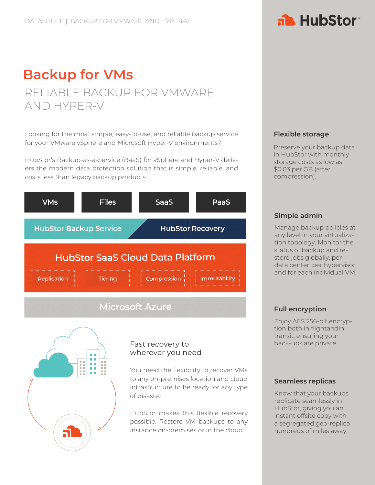### **Backup for VMs** RELIABLE BACKUP FOR VMWARE AND HYPER-V

Looking for the most simple, easy-to-use, and reliable backup service for your VMware vSphere and Microsoft Hyper-V environments?

HubStor's Backup-as-a-Service (BaaS) for vSphere and Hyper-V delivers the modern data protection solution that is simple, reliable, and costs less than legacy backup products.



# n n  $\blacksquare$ E **B**  $\blacksquare$  $\mathbf{H}^{\prime}$  . m m

#### Fast recovery to wherever you need

You need the flexibility to recover VMs to any on-premises location and cloud infrastructure to be ready for any type of disaster.

HubStor makes this flexible recovery possible. Restore VM backups to any instance on-premises or in the cloud.

#### **Flexible storage**

Preserve your backup data in HubStor with monthly storage costs as low as \$0.03 per GB (after compression).

#### **Simple admin**

Manage backup policies at any level in your virtualization topology. Monitor the status of backup and restore jobs globally, per data center, per hypervisor, and for each individual VM.

#### **Full encryption**

Enjoy AES 256-bit encryption both in flight and in transit, ensuring your back-ups are private.

#### **Seamless replicas**

Know that your backups replicate seamlessly in HubStor, giving you an instant offsite copy with a segregated geo-replica hundreds of miles away.

# a HubStor